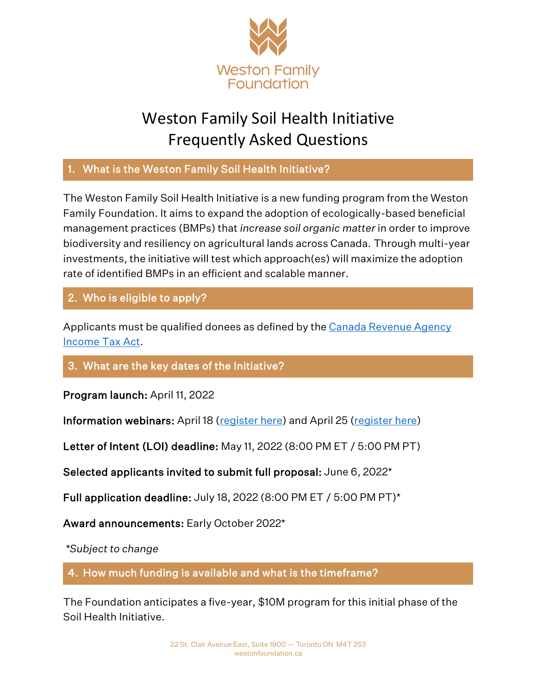

# Weston Family Soil Health Initiative Frequently Asked Questions

## 1. What is the Weston Family Soil Health Initiative?

The Weston Family Soil Health Initiative is a new funding program from the Weston Family Foundation. It aims to expand the adoption of ecologically-based beneficial management practices (BMPs) that *increase soil organic matter* in order to improve biodiversity and resiliency on agricultural lands across Canada. Through multi-year investments, the initiative will test which approach(es) will maximize the adoption rate of identified BMPs in an efficient and scalable manner.

## 2. Who is eligible to apply?

Applicants must be qualified donees as defined by the Canada Revenue Agency [Income Tax Act.](https://www.canada.ca/en/revenue-agency/services/charities-giving/list-charities/list-charities-other-qualified-donees.html)

## 3. What are the key dates of the Initiative?

Program launch: April 11, 2022

Information webinars: April 18 [\(register here\)](https://teams.microsoft.com/registration/MsE8D3LwfUCOEnYz_O7H-g,juB1inmfv0qLqvaOwlZWJw,oMecG8BQyEGz1hD9j9eOpw,yqbhMd6Q5Ea4civ-G3AzIw,VDI2zOzGqkalT0xJG2hZYg,RisHuCdrTEufcaVB3jgIWw?mode=read&tenantId=0f3cc132-f072-407d-8e12-7633fceec7fa) and April 25 [\(register here\)](https://teams.microsoft.com/registration/MsE8D3LwfUCOEnYz_O7H-g,qkWx0ewsPkeE8ppJNi81lA,d8l7aYKqGUKV6KBicz9MWg,t-mx_GN2FEqWlu87e5SIhw,jZuKyqO5k0KYEY_pWUO6rg,EEj6KEDyw0OfMdzZtH4uuA?mode=read&tenantId=0f3cc132-f072-407d-8e12-7633fceec7fa)

Letter of Intent (LOI) deadline: May 11, 2022 (8:00 PM ET / 5:00 PM PT)

Selected applicants invited to submit full proposal: June 6, 2022\*

Full application deadline: July 18, 2022 (8:00 PM ET / 5:00 PM PT)\*

Award announcements: Early October 2022\*

*\*Subject to change*

4. How much funding is available and what is the timeframe?

The Foundation anticipates a five-year, \$10M program for this initial phase of the Soil Health Initiative.